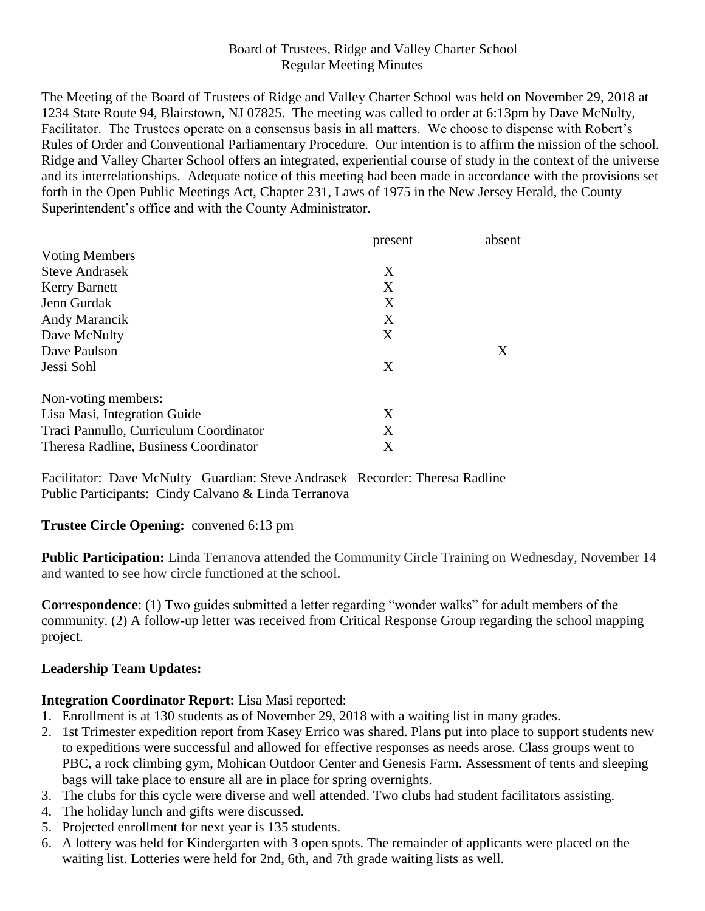#### Board of Trustees, Ridge and Valley Charter School Regular Meeting Minutes

The Meeting of the Board of Trustees of Ridge and Valley Charter School was held on November 29, 2018 at 1234 State Route 94, Blairstown, NJ 07825. The meeting was called to order at 6:13pm by Dave McNulty, Facilitator. The Trustees operate on a consensus basis in all matters. We choose to dispense with Robert's Rules of Order and Conventional Parliamentary Procedure. Our intention is to affirm the mission of the school. Ridge and Valley Charter School offers an integrated, experiential course of study in the context of the universe and its interrelationships. Adequate notice of this meeting had been made in accordance with the provisions set forth in the Open Public Meetings Act, Chapter 231, Laws of 1975 in the New Jersey Herald, the County Superintendent's office and with the County Administrator.

|                                        | present | absent |
|----------------------------------------|---------|--------|
| <b>Voting Members</b>                  |         |        |
| <b>Steve Andrasek</b>                  | X       |        |
| <b>Kerry Barnett</b>                   | X       |        |
| Jenn Gurdak                            | X       |        |
| <b>Andy Marancik</b>                   | X       |        |
| Dave McNulty                           | X       |        |
| Dave Paulson                           |         | X      |
| Jessi Sohl                             | X       |        |
| Non-voting members:                    |         |        |
| Lisa Masi, Integration Guide           | X       |        |
| Traci Pannullo, Curriculum Coordinator | X       |        |
| Theresa Radline, Business Coordinator  | Χ       |        |

Facilitator: Dave McNulty Guardian: Steve Andrasek Recorder: Theresa Radline Public Participants: Cindy Calvano & Linda Terranova

#### **Trustee Circle Opening:** convened 6:13 pm

**Public Participation:** Linda Terranova attended the Community Circle Training on Wednesday, November 14 and wanted to see how circle functioned at the school.

**Correspondence**: (1) Two guides submitted a letter regarding "wonder walks" for adult members of the community. (2) A follow-up letter was received from Critical Response Group regarding the school mapping project.

## **Leadership Team Updates:**

## **Integration Coordinator Report:** Lisa Masi reported:

- 1. Enrollment is at 130 students as of November 29, 2018 with a waiting list in many grades.
- 2. 1st Trimester expedition report from Kasey Errico was shared. Plans put into place to support students new to expeditions were successful and allowed for effective responses as needs arose. Class groups went to PBC, a rock climbing gym, Mohican Outdoor Center and Genesis Farm. Assessment of tents and sleeping bags will take place to ensure all are in place for spring overnights.
- 3. The clubs for this cycle were diverse and well attended. Two clubs had student facilitators assisting.
- 4. The holiday lunch and gifts were discussed.
- 5. Projected enrollment for next year is 135 students.
- 6. A lottery was held for Kindergarten with 3 open spots. The remainder of applicants were placed on the waiting list. Lotteries were held for 2nd, 6th, and 7th grade waiting lists as well.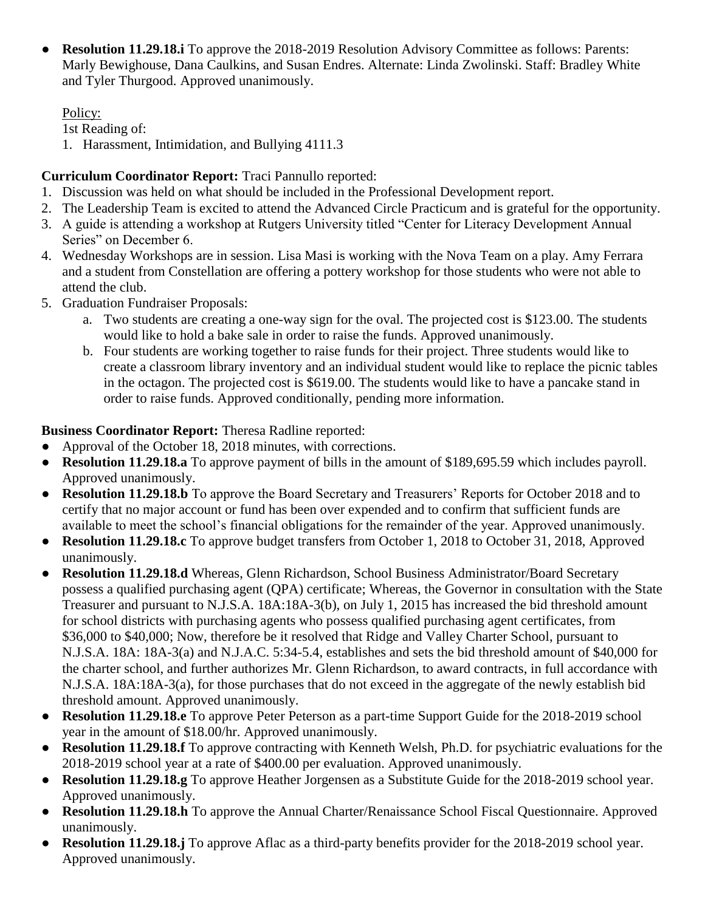● **Resolution 11.29.18.i** To approve the 2018-2019 Resolution Advisory Committee as follows: Parents: Marly Bewighouse, Dana Caulkins, and Susan Endres. Alternate: Linda Zwolinski. Staff: Bradley White and Tyler Thurgood. Approved unanimously.

## Policy:

1st Reading of:

1. Harassment, Intimidation, and Bullying 4111.3

# **Curriculum Coordinator Report:** Traci Pannullo reported:

- 1. Discussion was held on what should be included in the Professional Development report.
- 2. The Leadership Team is excited to attend the Advanced Circle Practicum and is grateful for the opportunity.
- 3. A guide is attending a workshop at Rutgers University titled "Center for Literacy Development Annual Series" on December 6.
- 4. Wednesday Workshops are in session. Lisa Masi is working with the Nova Team on a play. Amy Ferrara and a student from Constellation are offering a pottery workshop for those students who were not able to attend the club.
- 5. Graduation Fundraiser Proposals:
	- a. Two students are creating a one-way sign for the oval. The projected cost is \$123.00. The students would like to hold a bake sale in order to raise the funds. Approved unanimously.
	- b. Four students are working together to raise funds for their project. Three students would like to create a classroom library inventory and an individual student would like to replace the picnic tables in the octagon. The projected cost is \$619.00. The students would like to have a pancake stand in order to raise funds. Approved conditionally, pending more information.

# **Business Coordinator Report:** Theresa Radline reported:

- Approval of the October 18, 2018 minutes, with corrections.
- **Resolution 11.29.18.a** To approve payment of bills in the amount of \$189,695.59 which includes payroll. Approved unanimously.
- **Resolution 11.29.18.b** To approve the Board Secretary and Treasurers' Reports for October 2018 and to certify that no major account or fund has been over expended and to confirm that sufficient funds are available to meet the school's financial obligations for the remainder of the year. Approved unanimously.
- **Resolution 11.29.18.c** To approve budget transfers from October 1, 2018 to October 31, 2018, Approved unanimously.
- **Resolution 11.29.18.d** Whereas, Glenn Richardson, School Business Administrator/Board Secretary possess a qualified purchasing agent (QPA) certificate; Whereas, the Governor in consultation with the State Treasurer and pursuant to N.J.S.A. 18A:18A-3(b), on July 1, 2015 has increased the bid threshold amount for school districts with purchasing agents who possess qualified purchasing agent certificates, from \$36,000 to \$40,000; Now, therefore be it resolved that Ridge and Valley Charter School, pursuant to N.J.S.A. 18A: 18A-3(a) and N.J.A.C. 5:34-5.4, establishes and sets the bid threshold amount of \$40,000 for the charter school, and further authorizes Mr. Glenn Richardson, to award contracts, in full accordance with N.J.S.A. 18A:18A-3(a), for those purchases that do not exceed in the aggregate of the newly establish bid threshold amount. Approved unanimously.
- **Resolution 11.29.18.e** To approve Peter Peterson as a part-time Support Guide for the 2018-2019 school year in the amount of \$18.00/hr. Approved unanimously.
- **Resolution 11.29.18.f** To approve contracting with Kenneth Welsh, Ph.D. for psychiatric evaluations for the 2018-2019 school year at a rate of \$400.00 per evaluation. Approved unanimously.
- **Resolution 11.29.18.g** To approve Heather Jorgensen as a Substitute Guide for the 2018-2019 school year. Approved unanimously.
- **Resolution 11.29.18.h** To approve the Annual Charter/Renaissance School Fiscal Questionnaire. Approved unanimously.
- **Resolution 11.29.18.j** To approve Aflac as a third-party benefits provider for the 2018-2019 school year. Approved unanimously.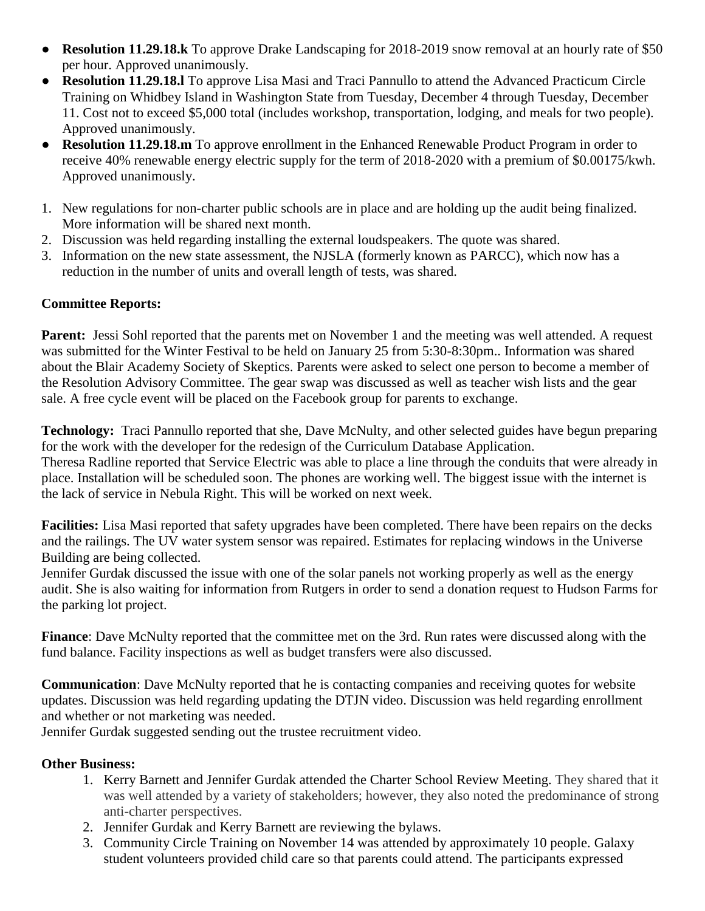- **Resolution 11.29.18.k** To approve Drake Landscaping for 2018-2019 snow removal at an hourly rate of \$50 per hour. Approved unanimously.
- **Resolution 11.29.18.l** To approve Lisa Masi and Traci Pannullo to attend the Advanced Practicum Circle Training on Whidbey Island in Washington State from Tuesday, December 4 through Tuesday, December 11. Cost not to exceed \$5,000 total (includes workshop, transportation, lodging, and meals for two people). Approved unanimously.
- **Resolution 11.29.18.m** To approve enrollment in the Enhanced Renewable Product Program in order to receive 40% renewable energy electric supply for the term of 2018-2020 with a premium of \$0.00175/kwh. Approved unanimously.
- 1. New regulations for non-charter public schools are in place and are holding up the audit being finalized. More information will be shared next month.
- 2. Discussion was held regarding installing the external loudspeakers. The quote was shared.
- 3. Information on the new state assessment, the NJSLA (formerly known as PARCC), which now has a reduction in the number of units and overall length of tests, was shared.

#### **Committee Reports:**

**Parent:** Jessi Sohl reported that the parents met on November 1 and the meeting was well attended. A request was submitted for the Winter Festival to be held on January 25 from 5:30-8:30pm.. Information was shared about the Blair Academy Society of Skeptics. Parents were asked to select one person to become a member of the Resolution Advisory Committee. The gear swap was discussed as well as teacher wish lists and the gear sale. A free cycle event will be placed on the Facebook group for parents to exchange.

**Technology:** Traci Pannullo reported that she, Dave McNulty, and other selected guides have begun preparing for the work with the developer for the redesign of the Curriculum Database Application.

Theresa Radline reported that Service Electric was able to place a line through the conduits that were already in place. Installation will be scheduled soon. The phones are working well. The biggest issue with the internet is the lack of service in Nebula Right. This will be worked on next week.

**Facilities:** Lisa Masi reported that safety upgrades have been completed. There have been repairs on the decks and the railings. The UV water system sensor was repaired. Estimates for replacing windows in the Universe Building are being collected.

Jennifer Gurdak discussed the issue with one of the solar panels not working properly as well as the energy audit. She is also waiting for information from Rutgers in order to send a donation request to Hudson Farms for the parking lot project.

**Finance**: Dave McNulty reported that the committee met on the 3rd. Run rates were discussed along with the fund balance. Facility inspections as well as budget transfers were also discussed.

**Communication**: Dave McNulty reported that he is contacting companies and receiving quotes for website updates. Discussion was held regarding updating the DTJN video. Discussion was held regarding enrollment and whether or not marketing was needed.

Jennifer Gurdak suggested sending out the trustee recruitment video.

## **Other Business:**

- 1. Kerry Barnett and Jennifer Gurdak attended the Charter School Review Meeting. They shared that it was well attended by a variety of stakeholders; however, they also noted the predominance of strong anti-charter perspectives.
- 2. Jennifer Gurdak and Kerry Barnett are reviewing the bylaws.
- 3. Community Circle Training on November 14 was attended by approximately 10 people. Galaxy student volunteers provided child care so that parents could attend. The participants expressed